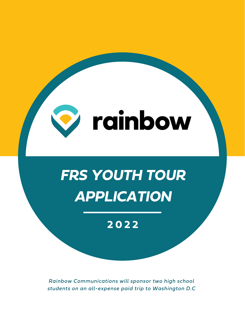

**2 0 2 2**

*Rainbow Communications will sponsor two high school students on an all-expense paid trip to Washington D.C*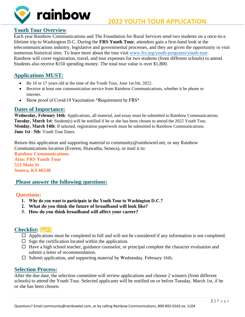

## **Youth** T**our Overview**

Each year Rainbow Communications and The Foundation for Rural Services send two students on a once-in-a lifetime trip to Washington D.C. During the **FRS Youth Tour**, attendees gain a first-hand look at the telecommunications industry, legislative and governmental processes, and they are given the opportunity to visit numerous historical sites. To learn more about the tour visit www.frs.org/youth-programs/youth-tour. Rainbow will cover registration, travel, and tour expenses for two students (from different schools) to attend. Students also receive \$150 spending money. The total tour [value is over \\$1,800.](http://www.frs.org/youth-programs/youth-tour) 

# **Applications MUST:**

- Be 16 or 17 years old at the time of the Youth Tour, June 1st-5th, 2022.
- Receive at least one communication service from Rainbow Communications, whether it be phone or internet.
- Show proof of Covid-19 Vaccination \*Requirement by FRS\*

#### **Dates of Importance:**

Wednesday, February 16th: Applications, all material, and essay must be submitted to Rainbow Communications. Tuesday, March 1st: Student(s) will be notified if he or she has been chosen to attend the 2022 Youth Tour. Monday, March 14th: If selected, registration paperwork must be submitted to Rainbow Communications. June 1st - 5th: Youth Tour Dates.

Return this application and supporting material to community@rainbowtel.net, or any Rainbow Communications location (Everest, Hiawatha, Seneca), or mail it to: **Rainbow Communications Attn: FRS Youth Tour 513 Main St Seneca, KS 66538** 

#### **Please answer the following questions:**

#### **Questions:**

- 1. Why do you want to participate in the Youth Tour to Washington D.C.?
- 2. **What do you think the future of broadband will look like?**
- 3. **How do you think broadband will affect your career?**

## **Checklist:**

- $\Box$  Applic[ation](https://commons.wikimedia.org/wiki/File:Yellow_checkbox-checked.svg)s must be completed in full and will not be considered if any information is not completed.
- $\Box$  Sign t[he ce](https://commons.wikimedia.org/wiki/File:Yellow_checkbox-checked.svg)rtification located within the application.
- $\Box$  Have [a hi](https://commons.wikimedia.org/wiki/File:Yellow_checkbox-checked.svg)gh school teacher, guidance counselor, or principal complete the character evaluation and submit a letter of recommendation.
- $\square$  Submit application, and supporting material by Wednesday, February 16th.

#### **Selection Process:**

After the due date, the selection committee will review applications and choose 2 winners (from different schools) to attend the Youth Tour. Selected applicants will be notified on or before Tuesday, March 1st, if he or she has been chosen.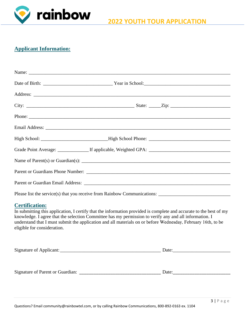

# **Applicant Information:**

|  | Phone: |
|--|--------|
|  |        |
|  |        |
|  |        |
|  |        |
|  |        |
|  |        |
|  |        |

Please list the service(s) that you receive from Rainbow Communications: \_\_\_\_\_\_\_\_\_\_\_\_\_\_\_\_\_\_\_\_\_\_\_\_\_\_\_\_\_\_

#### **Certification:**

In submitting this application, I certify that the information provided is complete and accurate to the best of my knowledge. I agree that the selection Committee has my permission to verify any and all information. I understand that I must submit the application and all materials on or before Wednesday, February 16th, to be eligible for consideration.

| $\sim$<br>Signature of Applic | ли<br>- |
|-------------------------------|---------|
|                               |         |

Signature of Parent or Guardian: \_\_\_\_\_\_\_\_\_\_\_\_\_\_\_\_\_\_\_\_\_\_\_\_\_\_\_\_\_\_\_\_\_\_ Date:\_\_\_\_\_\_\_\_\_\_\_\_\_\_\_\_\_\_\_\_\_\_\_\_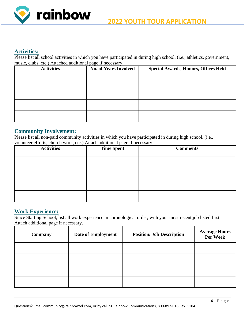

#### **Activities:**

Please list all school activities in which you have participated in during high school. (i.e., athletics, government, music, clubs, etc.) Attached additional page if necessary.

| <b>Activities</b> | <b>No. of Years Involved</b> | <b>Special Awards, Honors, Offices Held</b> |
|-------------------|------------------------------|---------------------------------------------|
|                   |                              |                                             |
|                   |                              |                                             |
|                   |                              |                                             |
|                   |                              |                                             |

#### **Community Involvement:**

Please list all non-paid community activities in which you have participated in during high school. (i.e., volunteer efforts, church work, etc.) Attach additional page if necessary.

| <b>Activities</b> | <b>Time Spent</b> | <b>Comments</b> |  |
|-------------------|-------------------|-----------------|--|
|                   |                   |                 |  |
|                   |                   |                 |  |
|                   |                   |                 |  |
|                   |                   |                 |  |

#### **Work Experience:**

Since Starting School, list all work experience in chronological order, with your most recent job listed first. Attach additional page if necessary.

| Company | <b>Date of Employment</b> | <b>Position/ Job Description</b> | <b>Average Hours</b><br>Per Week |
|---------|---------------------------|----------------------------------|----------------------------------|
|         |                           |                                  |                                  |
|         |                           |                                  |                                  |
|         |                           |                                  |                                  |
|         |                           |                                  |                                  |